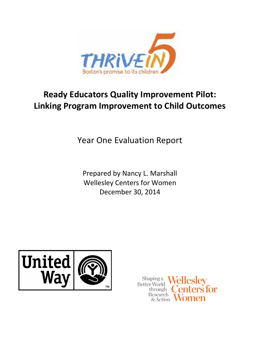

# **Ready Educators Quality Improvement Pilot: Linking Program Improvement to Child Outcomes**

Year One Evaluation Report

Prepared by Nancy L. Marshall Wellesley Centers for Women December 30, 2014



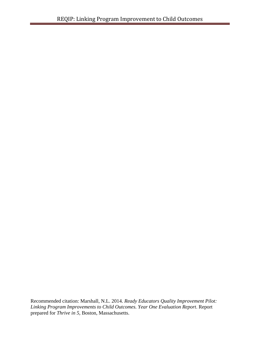Recommended citation: Marshall, N.L. 2014. *Ready Educators Quality Improvement Pilot: Linking Program Improvements to Child Outcomes. Year One Evaluation Report*. Report prepared for *Thrive in 5,* Boston, Massachusetts.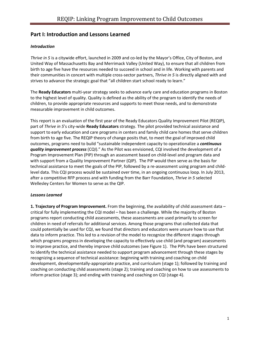### **Part I: Introduction and Lessons Learned**

### *Introduction*

*Thrive in 5* is a citywide effort, launched in 2009 and co-led by the Mayor's Office, City of Boston, and United Way of Massachusetts Bay and Merrimack Valley (United Way), to ensure that all children from birth to age five have the resources needed to succeed in school and in life. Working with parents and their communities in concert with multiple cross-sector partners, *Thrive in 5* is directly aligned with and strives to advance the strategic goal that "all children start school ready to learn."

The **Ready Educators** multi-year strategy seeks to advance early care and education programs in Boston to the highest level of quality. Quality is defined as the ability of the program to identify the needs of children, to provide appropriate resources and supports to meet those needs, and to demonstrate measurable improvement in child outcomes.

This report is an evaluation of the first year of the Ready Educators Quality Improvement Pilot (REQIP), part of *Thrive in 5*'s city-wide **Ready Educators** strategy. The pilot provided technical assistance and support to early education and care programs in centers and family child care homes that serve children from birth to age five. The REQIP theory of change posits that, to meet the goal of improved child outcomes, programs need to build "sustainable independent capacity to operationalize a *continuous quality improvement process* (CQI)." As the Pilot was envisioned, CQI involved the development of a Program Improvement Plan (PIP) through an assessment based on child-level and program data and with support from a Quality Improvement Partner (QIP). The PIP would then serve as the basis for technical assistance to meet the goals of the PIP, followed by a re-assessment using program and childlevel data. This CQI process would be sustained over time, in an ongoing continuous loop. In July 2013, after a competitive RFP process and with funding from the Barr Foundation, *Thrive in 5* selected Wellesley Centers for Women to serve as the QIP.

### *Lessons Learned*

**1. Trajectory of Program Improvement.** From the beginning, the availability of child assessment data – critical for fully implementing the CQI model – has been a challenge. While the majority of Boston programs report conducting child assessments, these assessments are used primarily to screen for children in need of referrals for additional services. Among those programs that collected data that could potentially be used for CQI, we found that directors and educators were unsure how to use that data to inform practice. This led to a revision of the model to recognize the different stages through which programs progress in developing the capacity to effectively use child (and program) assessments to improve practice, and thereby improve child outcomes (see Figure 1). The PIPs have been structured to identify the technical assistance needed to support program advancement through these stages by recognizing a sequence of technical assistance: beginning with training and coaching on child development, developmentally-appropriate practice, and curriculum (stage 1); followed by training and coaching on conducting child assessments (stage 2); training and coaching on how to use assessments to inform practice (stage 3); and ending with training and coaching on CQI (stage 4).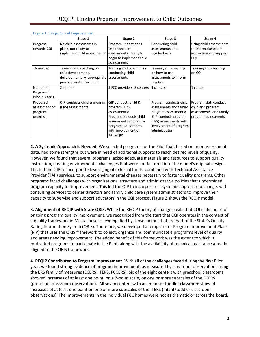|                                                  | Stage 1                                                                                                                | Stage 2                                                                                                                                                             | Stage 3                                                                                                                                                               | Stage 4                                                                                      |
|--------------------------------------------------|------------------------------------------------------------------------------------------------------------------------|---------------------------------------------------------------------------------------------------------------------------------------------------------------------|-----------------------------------------------------------------------------------------------------------------------------------------------------------------------|----------------------------------------------------------------------------------------------|
| Progress<br>towards CQI                          | No child assessments in<br>place, not ready to<br>implement child assessments                                          | Program understands<br>importance of<br>assessments. Ready to<br>begin to implement child<br>assessments                                                            | Conducting child<br>assessments on a<br>regular basis                                                                                                                 | Using child assessments<br>to inform classroom<br>instruction and support<br><b>CQI</b>      |
| TA needed                                        | Training and coaching on<br>child development,<br>developmentally- appropriate assessments<br>practice, and curriculum | Training and coaching on<br>conducting child                                                                                                                        | Training and coaching<br>on how to use<br>assessments to inform<br>practice                                                                                           | Training and coaching<br>on CQI                                                              |
| Number of<br>Programs in<br>Pilot in Year 1      | 2 centers                                                                                                              | 5 FCC providers, 3 centers                                                                                                                                          | 4 centers                                                                                                                                                             | 1 center                                                                                     |
| Proposed<br>assessment of<br>program<br>progress | QIP conducts child & program<br>(ERS) assessments                                                                      | QIP conducts child &<br>program (ERS)<br>assessments;<br>Program conducts child<br>assessments and family<br>program assessments<br>with involvement of<br>TAPs/QIP | Program conducts child<br>assessments and family<br>program assessments;<br>QIP conducts program<br>(ERS) assessments with<br>involvement of program<br>administrator | Program staff conduct<br>child and program<br>assessments, and family<br>program assessments |

#### **Figure 1. Trajectory of Improvement**

**2. A Systemic Approach is Needed.** We selected programs for the Pilot that, based on prior assessment data, had some strengths but were in need of additional supports to reach desired levels of quality. However, we found that several programs lacked adequate materials and resources to support quality instruction, creating environmental challenges that were not factored into the model's original design. This led the QIP to incorporate leveraging of external funds, combined with Technical Assistance Provider (TAP) services, to support environmental changes necessary to foster quality programs. Other programs faced challenges with organizational structure and administrative policies that undermined program capacity for improvement. This led the QIP to incorporate a systemic approach to change, with consulting services to center directors and family child care system administrators to improve their capacity to supervise and support educators in the CQI process. Figure 2 shows the REQIP model.

**3. Alignment of REQIP with State QRIS.** While the REQIP theory of change posits that CQI is the heart of ongoing program quality improvement, we recognized from the start that CQI operates in the context of a quality framework in Massachusetts, exemplified by those factors that are part of the State's Quality Rating Information System (QRIS). Therefore, we developed a template for Program Improvement Plans (PIP) that uses the QRIS framework to collect, organize and communicate a program's level of quality and areas needing improvement. The added benefit of this framework was the extent to which it motivated programs to participate in the Pilot, along with the availability of technical assistance already aligned to the QRIS framework.

**4. REQIP Contributed to Program Improvement.** With all of the challenges faced during the first Pilot year, we found strong evidence of program improvement, as measured by classroom observations using the ERS family of measures (ECERS, ITERS, FCCERS). Six of the eight centers with preschool classrooms showed increases of at least one point, on a 7-point scale, on one or more subscales of the ECERS (preschool classroom observation). All seven centers with an infant or toddler classroom showed increases of at least one point on one or more subscales of the ITERS (infant/toddler classroom observations). The improvements in the individual FCC homes were not as dramatic or across the board,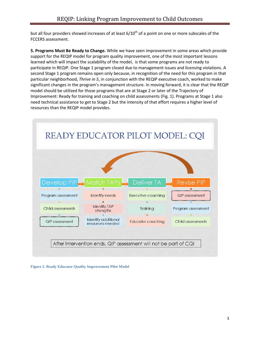but all four providers showed increases of at least 6/10<sup>th</sup> of a point on one or more subscales of the FCCERS assessment.

**5. Programs Must Be Ready to Change.** While we have seen improvement in some areas which provide support for the REQIP model for program quality improvement, one of the most important lessons learned which will impact the scalability of the model, is that some programs are not ready to participate in REQIP. One Stage 1 program closed due to management issues and licensing violations. A second Stage 1 program remains open only because, in recognition of the need for this program in that particular neighborhood, *Thrive in 5*, in conjunction with the REQIP executive coach, worked to make significant changes in the program's management structure. In moving forward, it is clear that the REQIP model should be utilized for those programs that are at Stage 2 or later of the Trajectory of Improvement: Ready for training and coaching on child assessments (Fig. 1). Programs at Stage 1 also need technical assistance to get to Stage 2 but the intensity of that effort requires a higher level of resources than the REQIP model provides.



**Figure 2. Ready Educator Quality Improvement Pilot Model**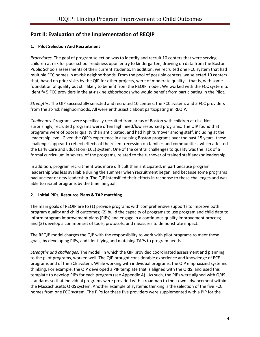# **Part II: Evaluation of the Implementation of REQIP**

### **1. Pilot Selection And Recruitment**

*Procedures*. The goal of program selection was to identify and recruit 10 centers that were serving children at risk for poor school readiness upon entry to kindergarten, drawing on data from the Boston Public Schools assessments of their current students. In addition, we recruited one FCC system that had multiple FCC homes in at-risk neighborhoods. From the pool of possible centers, we selected 10 centers that, based on prior visits by the QIP for other projects, were of moderate quality – that is, with some foundation of quality but still likely to benefit from the REQIP model. We worked with the FCC system to identify 5 FCC providers in the at-risk neighborhoods who would benefit from participating in the Pilot.

*Strengths*. The QIP successfully selected and recruited 10 centers, the FCC system, and 5 FCC providers from the at-risk neighborhoods. All were enthusiastic about participating in REQIP.

*Challenges*. Programs were specifically recruited from areas of Boston with children at risk. Not surprisingly, recruited programs were often high need/low resourced programs. The QIP found that programs were of poorer quality than anticipated, and had high turnover among staff, including at the leadership level. Given the QIP's experience in assessing Boston programs over the past 15 years, these challenges appear to reflect effects of the recent recession on families and communities, which affected the Early Care and Education (ECE) system. One of the central challenges to quality was the lack of a formal curriculum in several of the programs, related to the turnover of trained staff and/or leadership.

In addition, program recruitment was more difficult than anticipated, in part because program leadership was less available during the summer when recruitment began, and because some programs had unclear or new leadership. The QIP intensified their efforts in response to these challenges and was able to recruit programs by the timeline goal.

### **2. Initial PIPs, Resource Plans & TAP matching**

The main goals of REQIP are to (1) provide programs with comprehensive supports to improve both program quality and child outcomes; (2) build the capacity of programs to use program and child data to inform program improvement plans (PIPs) and engage in a continuous quality improvement process; and (3) develop a common set of tools, protocols, and measures to demonstrate impact.

The REQIP model charges the QIP with the responsibility to work with pilot programs to meet these goals, by developing PIPs, and identifying and matching TAPs to program needs.

*Strengths and challenges*. The model, in which the QIP provided coordinated assessment and planning to the pilot programs, worked well. The QIP brought considerable experience and knowledge of ECE programs and of the ECE system. While working with individual programs, the QIP emphasized systemic thinking. For example, the QIP developed a PIP template that is aligned with the QRIS, and used this template to develop PIPs for each program (see Appendix A). As such, the PIPs were aligned with QRIS standards so that individual programs were provided with a roadmap to their own advancement within the Massachusetts QRIS system. Another example of systemic thinking is the selection of the five FCC homes from one FCC system. The PIPs for these five providers were supplemented with a PIP for the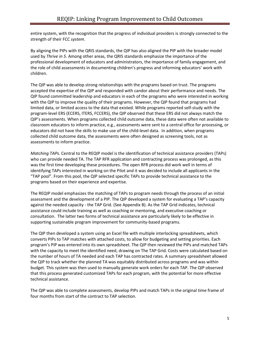entire system, with the recognition that the progress of individual providers is strongly connected to the strength of their FCC *system*.

By aligning the PIPs with the QRIS standards, the QIP has also aligned the PIP with the broader model used by *Thrive in 5*. Among other areas, the QRIS standards emphasize the importance of the professional development of educators and administrators, the importance of family engagement, and the role of child assessments in documenting children's progress and informing educators' work with children.

The QIP was able to develop strong relationships with the programs based on trust. The programs accepted the expertise of the QIP and responded with candor about their performance and needs. The QIP found committed leadership and educators in each of the programs who were interested in working with the QIP to improve the quality of their programs. However, the QIP found that programs had limited data, or limited access to the data that existed. While programs reported self-study with the program-level ERS (ECERS, ITERS, FCCERS), the QIP observed that these ERS did not always match the QIP's assessments. When programs collected child outcome data, these data were often not available to classroom educators to inform practice, e.g., assessments were sent to a central office for processing, or educators did not have the skills to make use of the child-level data. In addition, when programs collected child outcome data, the assessments were often designed as screening tools, not as assessments to inform practice.

*Matching TAPs.* Central to the REQIP model is the identification of technical assistance providers (TAPs) who can provide needed TA. The TAP RFR application and contracting process was prolonged, as this was the first time developing these procedures. The open RFR process did work well in terms of identifying TAPs interested in working on the Pilot and it was decided to include all applicants in the "TAP pool". From this pool, the QIP selected specific TAPs to provide technical assistance to the programs based on their experience and expertise.

The REQIP model emphasizes the matching of TAPs to program needs through the process of an initial assessment and the development of a PIP. The QIP developed a system for evaluating a TAP's capacity against the needed capacity - the TAP Grid. (See Appendix B). As the TAP Grid indicates, technical assistance could include training as well as coaching or mentoring, and executive coaching or consultation. The latter two forms of technical assistance are particularly likely to be effective in supporting sustainable program improvement for community-based programs.

The QIP then developed a system using an Excel file with multiple interlocking spreadsheets, which converts PIPs to TAP matches with attached costs, to allow for budgeting and setting priorities. Each program's PIP was entered into its own spreadsheet. The QIP then reviewed the PIPs and matched TAPs with the capacity to meet the identified need, drawing on The TAP Grid. Costs were calculated based on the number of hours of TA needed and each TAP has contracted rates. A summary spreadsheet allowed the QIP to track whether the planned TA was equitably distributed across programs and was within budget. This system was then used to manually generate work orders for each TAP. The QIP observed that this process generated customized TAPs for each program, with the potential for more effective technical assistance.

The QIP was able to complete assessments, develop PIPs and match TAPs in the original time frame of four months from start of the contract to TAP selection.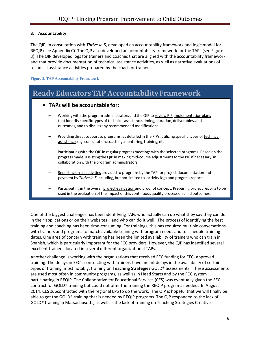### **3. Accountability**

The QIP, in consultation with *Thrive in 5*, developed an accountability framework and logic model for REQIP (see Appendix C). The QIP also developed an accountability framework for the TAPs (see Figure 3). The QIP developed logs for trainers and coaches that are aligned with the accountability framework and that provide documentation of technical assistance activities, as well as narrative evaluations of technical assistance activities prepared by the coach or trainer.

**Figure 3. TAP Accountability Framework**

# **Ready EducatorsTAP AccountabilityFramework**

### • **TAPs will be accountablefor:**

- Working with the program administrators and the QIP to review PIP implementation plans that identify specific types of technical assistance, timing, duration, deliverables, and outcomes, and to discuss any recommended modifications.
- Providing direct support to programs, as detailed in the PIPs, utilizing specific types of technical assistance, e.g. consultation, coaching, mentoring, training, etc.
- Participating with the QIP in regular progress meetings with the selected programs. Based on the progress made, assisting the QIP in making mid-course adjustmentsto the PIP if necessary,in collaborationwith the program administrators.
- Reporting on all activities provided to programs by the TAP for project documentation and payment by Thrive in 5 including, but not limited to, activity logs and progress reports.
- Participating in the overall project evaluation and proof of concept. Preparing project reports to be used in the evaluation of the impact of this continuousquality process on child outcomes.

One of the biggest challenges has been identifying TAPs who actually can do what they say they can do in their applications or on their websites – and who can do it well. The process of identifying the best training and coaching has been time-consuming. For trainings, this has required multiple conversations with trainers and programs to match available training with program needs and to schedule training dates. One area of concern with training has been the limited availability of trainers who can train in Spanish, which is particularly important for the FCC providers. However, the QIP has identified several excellent trainers, located in several different organizational TAPs.

Another challenge is working with the organizations that received EEC funding for EEC- approved training. The delays in EEC's contracting with trainers have meant delays in the availability of certain types of training, most notably, training on **Teaching Strategies** GOLD® assessments. These assessments are used most often in community programs, as well as in Head Starts and by the FCC system participating in REQIP. The Collaborative for Educational Services (CES) was eventually given the EEC contract for GOLD® training but could not offer the training the REQIP programs needed. In August 2014, CES subcontracted with the regional EPS to do the work. The QIP is hopeful that we will finally be able to get the GOLD® training that is needed by REQIP programs. The QIP responded to the lack of GOLD® training in Massachusetts, as well as the lack of training on Teaching Strategies Creative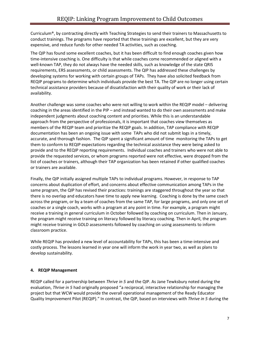Curriculum®, by contracting directly with Teaching Strategies to send their trainers to Massachusetts to conduct trainings. The programs have reported that these trainings are excellent, but they are very expensive, and reduce funds for other needed TA activities, such as coaching.

The QIP has found some excellent coaches, but it has been difficult to find enough coaches given how time-intensive coaching is. One difficulty is that while coaches come recommended or aligned with a well-known TAP, they do not always have the needed skills, such as knowledge of the state QRIS requirements, ERS assessments, or child assessments. The QIP has addressed these challenges by developing systems for working with certain groups of TAPs. They have also solicited feedback from REQIP programs to determine which individuals provide the best TA. The QIP are no longer using certain technical assistance providers because of dissatisfaction with their quality of work or their lack of availability.

Another challenge was some coaches who were not willing to work within the REQIP model – delivering coaching in the areas identified in the PIP – and instead wanted to do their own assessments and make independent judgments about coaching content and priorities. While this is an understandable approach from the perspective of professionals, it is important that coaches view themselves as members of the REQIP team and prioritize the REQIP goals. In addition, TAP compliance with REQIP documentation has been an ongoing issue with some TAPs who did not submit logs in a timely, accurate, and thorough fashion. The QIP spent a significant amount of time monitoring the TAPs to get them to conform to REQIP expectations regarding the technical assistance they were being asked to provide and to the REQIP reporting requirements. Individual coaches and trainers who were not able to provide the requested services, or whom programs reported were not effective, were dropped from the list of coaches or trainers, although their TAP organization has been retained if other qualified coaches or trainers are available.

Finally, the QIP initially assigned multiple TAPs to individual programs. However, in response to TAP concerns about duplication of effort, and concerns about effective communication among TAPs in the same program, the QIP has revised their practices: trainings are staggered throughout the year so that there is no overlap and educators have time to apply new learning. Coaching is done by the same coach across the program, or by a team of coaches from the same TAP, for large programs, and only one set of coaches or a single coach, works with a program at any point in time. For example, a program might receive a training in general curriculum in October followed by coaching on curriculum. Then in January, the program might receive training on literacy followed by literacy coaching. Then in April, the program might receive training in GOLD assessments followed by coaching on using assessments to inform classroom practice.

While REQIP has provided a new level of accountability for TAPs, this has been a time-intensive and costly process. The lessons learned in year one will inform the work in year two, as well as plans to develop sustainability.

### **4. REQIP Management**

REQIP called for a partnership between *Thrive in 5* and the QIP. As Jane Tewksbury noted during the evaluation, *Thrive in 5* had originally proposed "a reciprocal, interactive relationship for managing the project but that WCW would provide the overall operational management of the Ready Educator Quality Improvement Pilot (REQIP)." In contrast, the QIP, based on interviews with *Thrive in 5* during the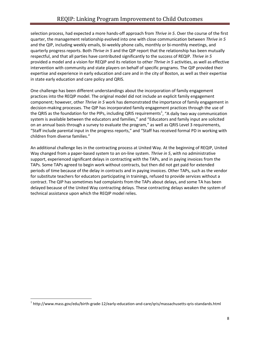selection process, had expected a more hands-off approach from *Thrive in 5*. Over the course of the first quarter, the management relationship evolved into one with close communication between *Thrive in 5* and the QIP, including weekly emails, bi-weekly phone calls, monthly or bi-monthly meetings, and quarterly progress reports. Both *Thrive in 5* and the QIP report that the relationship has been mutually respectful, and that all parties have contributed significantly to the success of REQIP. *Thrive in 5* provided a model and a vision for REQIP and its relation to other *Thrive in 5* activities, as well as effective intervention with community and state players on behalf of specific programs. The QIP provided their expertise and experience in early education and care and in the city of Boston, as well as their expertise in state early education and care policy and QRIS.

One challenge has been different understandings about the incorporation of family engagement practices into the REQIP model. The original model did not include an explicit family engagement component; however, other *Thrive in 5* work has demonstrated the importance of family engagement in decision-making processes. The QIP has incorporated family engagement practices through the use of the QRIS as the foundation for the PIPs, including QRIS requirements<sup>[1](#page-9-0)</sup>, "A daily two way communication system is available between the educators and families," and "Educators and family input are solicited on an annual basis through a survey to evaluate the program," as well as QRIS Level 3 requirements, "Staff include parental input in the progress reports," and "Staff has received formal PD in working with children from diverse families."

An additional challenge lies in the contracting process at United Way. At the beginning of REQIP, United Way changed from a paper-based system to an on-line system. *Thrive in 5*, with no administrative support, experienced significant delays in contracting with the TAPs, and in paying invoices from the TAPs. Some TAPs agreed to begin work without contracts, but then did not get paid for extended periods of time because of the delay in contracts and in paying invoices. Other TAPs, such as the vendor for substitute teachers for educators participating in trainings, refused to provide services without a contract. The QIP has sometimes had complaints from the TAPs about delays, and some TA has been delayed because of the United Way contracting delays. These contracting delays weaken the system of technical assistance upon which the REQIP model relies.

<span id="page-9-0"></span> $1$ http://www.mass.gov/edu/birth-grade-12/early-education-and-care/qris/massachusetts-qris-standards.html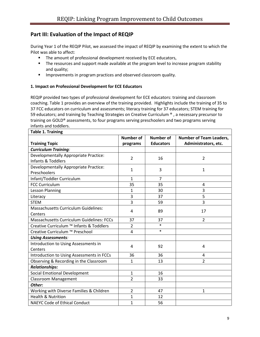## **Part III: Evaluation of the Impact of REQIP**

During Year 1 of the REQIP Pilot, we assessed the impact of REQIP by examining the extent to which the Pilot was able to affect:

- The amount of professional development received by ECE educators,
- The resources and support made available at the program level to increase program stability and quality;
- **IMPROM** 1mprovements in program practices and observed classroom quality.

### **1. Impact on Professional Development for ECE Educators**

REQIP provided two types of professional development for ECE educators: training and classroom coaching. Table 1 provides an overview of the training provided. Highlights include the training of 35 to 37 FCC educators on curriculum and assessments; literacy training for 37 educators; STEM training for 59 educators; and training by Teaching Strategies on Creative Curriculum ®, a necessary precursor to training on GOLD® assessments, to four programs serving preschoolers and two programs serving infants and toddlers.

| <b>Table 1. Training</b>                         |                  |                  |                                |  |  |  |  |  |
|--------------------------------------------------|------------------|------------------|--------------------------------|--|--|--|--|--|
|                                                  | <b>Number of</b> | <b>Number of</b> | <b>Number of Team Leaders,</b> |  |  |  |  |  |
| <b>Training Topic</b>                            | programs         | <b>Educators</b> | Administrators, etc.           |  |  |  |  |  |
| <b>Curriculum Training:</b>                      |                  |                  |                                |  |  |  |  |  |
| Developmentally Appropriate Practice:            | $\overline{2}$   | 16               | $\overline{2}$                 |  |  |  |  |  |
| Infants & Toddlers                               |                  |                  |                                |  |  |  |  |  |
| Developmentally Appropriate Practice:            | $\mathbf{1}$     | 3                | 1                              |  |  |  |  |  |
| Preschoolers                                     |                  |                  |                                |  |  |  |  |  |
| Infant/Toddler Curriculum                        | $\mathbf{1}$     | $\overline{7}$   |                                |  |  |  |  |  |
| <b>FCC Curriculum</b>                            | 35               | 35               | 4                              |  |  |  |  |  |
| <b>Lesson Planning</b>                           | $\mathbf{1}$     | 30               | 3                              |  |  |  |  |  |
| Literacy                                         | 3                | 37               | 5                              |  |  |  |  |  |
| <b>STEM</b>                                      | 3                | 59               | 3                              |  |  |  |  |  |
| <b>Massachusetts Curriculum Guidelines:</b>      | 4                | 89               | 17                             |  |  |  |  |  |
| Centers                                          |                  |                  |                                |  |  |  |  |  |
| <b>Massachusetts Curriculum Guidelines: FCCs</b> | 37               | 37               | $\overline{2}$                 |  |  |  |  |  |
| Creative Curriculum ™ Infants & Toddlers         | $\overline{2}$   | $\ast$           |                                |  |  |  |  |  |
| Creative Curriculum ™ Preschool                  | $\overline{4}$   | $\ast$           |                                |  |  |  |  |  |
| <b>Using Assessments:</b>                        |                  |                  |                                |  |  |  |  |  |
| Introduction to Using Assessments in             | 4                | 92               | 4                              |  |  |  |  |  |
| Centers                                          |                  |                  |                                |  |  |  |  |  |
| Introduction to Using Assessments in FCCs        | 36               | 36               | 4                              |  |  |  |  |  |
| Observing & Recording in the Classroom           | $\mathbf{1}$     | 13               | $\overline{2}$                 |  |  |  |  |  |
| <b>Relationships:</b>                            |                  |                  |                                |  |  |  |  |  |
| <b>Social Emotional Development</b>              | $\mathbf{1}$     | 16               |                                |  |  |  |  |  |
| <b>Classroom Management</b>                      | $\overline{2}$   | 33               |                                |  |  |  |  |  |
| Other:                                           |                  |                  |                                |  |  |  |  |  |
| Working with Diverse Families & Children         | $\overline{2}$   | 47               | 1                              |  |  |  |  |  |
| <b>Health &amp; Nutrition</b>                    | 1                | 12               |                                |  |  |  |  |  |
| <b>NAEYC Code of Ethical Conduct</b>             | $\mathbf{1}$     | 56               |                                |  |  |  |  |  |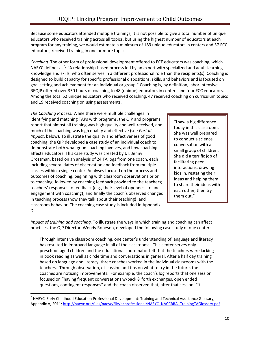Because some educators attended multiple trainings, it is not possible to give a total number of unique educators who received training across all topics, but using the highest number of educators at each program for any training, we would estimate a minimum of 189 unique educators in centers and 37 FCC educators, received training in one or more topics.

*Coaching.* The other form of professional development offered to ECE educators was coaching, which NAEYC defines as<sup>[2](#page-11-0)</sup>: "A relationship-based process led by an expert with specialized and adult-learning knowledge and skills, who often serves in a different professional role than the recipients(s). Coaching is designed to build capacity for specific professional dispositions, skills, and behaviors and is focused on goal setting and achievement for an individual or group." Coaching is, by definition, labor intensive. REQIP offered over 350 hours of coaching to 48 (unique) educators in centers and four FCC educators. Among the total 52 unique educators who received coaching, 47 received coaching on curriculum topics and 19 received coaching on using assessments.

*The Coaching Process.* While there were multiple challenges in identifying and matching TAPs with programs, the QIP and programs report that almost all training was high quality and well-received, and much of the coaching was high quality and effective (see *Part III. Impact*, below). To illustrate the quality and effectiveness of good coaching, the QIP developed a case study of an individual coach to demonstrate both what good coaching involves, and how coaching affects educators. This case study was created by Dr. Jenny Grossman, based on an analysis of 24 TA logs from one coach, each including several dates of observation and feedback from multiple classes within a single center. Analyses focused on the process and outcomes of coaching, beginning with classroom observations prior to coaching, followed by coaching feedback provided to the teachers; teachers' responses to feedback (e.g., their level of openness to and engagement with coaching); and finally the coach's observed changes in teaching process (how they talk about their teaching); and classroom behavior. The coaching case study is included in Appendix D.

"I saw a big difference today in this classroom. She was well prepared to conduct a science conversation with a small group of children. She did a terrific job of facilitating peer interactions, drawing kids in, restating their ideas and helping them to share their ideas with each other, then try them out."

*Impact of training and coaching.* To illustrate the ways in which training and coaching can affect practices, the QIP Director, Wendy Robeson, developed the following case study of one center:

Through intensive classroom coaching, one center's understanding of language and literacy has resulted in improved language in all of the classrooms. This center serves only preschool-aged children and the educational coordinator felt that the teachers were lacking in book reading as well as circle time and conversations in general. After a half day training based on language and literacy, three coaches worked in the individual classrooms with the teachers. Through observation, discussion and tips on what to try in the future, the coaches are noticing improvements. For example, the coach's log reports that one session focused on "having frequent conversations w/back & forth exchanges, open ended questions, contingent responses" and the coach observed that, after that session, "it

<span id="page-11-0"></span> $<sup>2</sup>$  NAEYC. Early Childhood Education Professional Development: Training and Technical Assistance Glossary,</sup> Appendix A, 2011[; http://naeyc.org/files/naeyc/file/ecprofessional/NAEYC\\_NACCRRA\\_TrainingTAGlossary.pdf.](http://naeyc.org/files/naeyc/file/ecprofessional/NAEYC_NACCRRA_TrainingTAGlossary.pdf)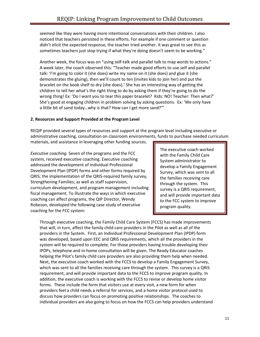seemed like they were having more intentional conversations with their children. I also noticed that teachers persisted in these efforts. For example if one comment or question didn't elicit the expected response, the teacher tried another. It was great to see this as sometimes teachers just stop trying if what they're doing doesn't seem to be working."

Another week, the focus was on "using self-talk and parallel talk to map words to actions." A week later, the coach observed this: "Teacher made good efforts to use self and parallel talk: 'I'm going to color it (she does) write my name on it (she does) and glue it (she demonstrates the gluing), then we'll count to ten (invites kids to join her) and put the bracelet on the book shelf to dry (she does).' She has an interesting way of getting the children to tell her what's the right thing to do by asking them if they're going to do the wrong thing! Ex: 'Do I want you to tear this paper bracelet? Kids: NO! Teacher: Then what?' She's good at engaging children in problem solving by asking questions. Ex: 'We only have a little bit of sand today…why is that? How can I get more sand?'"

### **2. Resources and Support Provided at the Program Level**

REQIP provided several types of resources and support at the program level including executive or administrative coaching, consultation on classroom environments, funds to purchase needed curriculum

materials, and assistance in leveraging other funding sources.

*Executive coaching.* Seven of the programs and the FCC system, received executive coaching. Executive coaching addressed the development of Individual Professional Development Plan (IPDP) forms and other forms required by QRIS; the implementation of the QRIS-required family survey, Strengthening Families; as well as staff supervision, curriculum development, and program management including fiscal management. To illustrate the ways in which executive coaching can affect programs, the QIP Director, Wendy Robeson, developed the following case study of executive coaching for the FCC system:

The executive coach worked with the Family Child Care System administrator to develop a Family Engagement Survey, which was sent to all the families receiving care through the system. This survey is a QRIS requirement, and will provide important data to the FCC system to improve program quality.

Through executive coaching, the Family Child Care System (FCCS) has made improvements that will, in turn, affect the family child care providers in the Pilot as well as all of the providers in the System. First, an Individual Professional Development Plan (IPDP) form was developed, based upon EEC and QRIS requirements, which all the providers in the system will be required to complete. For those providers having trouble developing their IPDPs, telephone and in-home consultation will be given. The Ready Educator coaches helping the Pilot's family child care providers are also providing them help when needed. Next, the executive coach worked with the FCCS to develop a Family Engagement Survey, which was sent to all the families receiving care through the system. This survey is a QRIS requirement, and will provide important data to the FCCS to improve program quality. In addition, the executive coach is working with the FCCS to revise or develop home visitor forms. These include the form that visitors use at every visit, a new form for when providers feel a child needs a referral for services, and a home visitor protocol used to discuss how providers can focus on promoting positive relationships. The coaches to individual providers are also going to focus on how the FCCS can help providers understand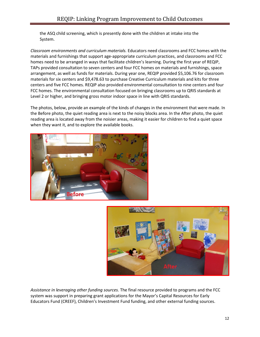the ASQ child screening, which is presently done with the children at intake into the System.

*Classroom environments and curriculum materials.* Educators need classrooms and FCC homes with the materials and furnishings that support age-appropriate curriculum practices, and classrooms and FCC homes need to be arranged in ways that facilitate children's learning. During the first year of REQIP, TAPs provided consultation to seven centers and four FCC homes on materials and furnishings, space arrangement, as well as funds for materials. During year one, REQIP provided \$5,106.76 for classroom materials for six centers and \$9,478.63 to purchase Creative Curriculum materials and kits for three centers and five FCC homes. REQIP also provided environmental consultation to nine centers and four FCC homes. The environmental consultation focused on bringing classrooms up to QRIS standards at Level 2 or higher, and bringing gross motor indoor space in line with QRIS standards.

The photos, below, provide an example of the kinds of changes in the environment that were made. In the Before photo, the quiet reading area is next to the noisy blocks area. In the After photo, the quiet reading area is located away from the noisier areas, making it easier for children to find a quiet space when they want it, and to explore the available books.





*Assistance in leveraging other funding sources.* The final resource provided to programs and the FCC system was support in preparing grant applications for the Mayor's Capital Resources for Early Educators Fund (CREEF), Children's Investment Fund funding, and other external funding sources.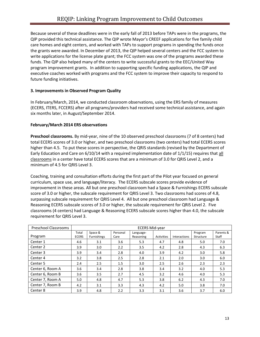Because several of these deadlines were in the early fall of 2013 before TAPs were in the programs, the QIP provided this technical assistance. The QIP wrote Mayor's CREEF applications for five family child care homes and eight centers, and worked with TAPs to support programs in spending the funds once the grants were awarded. In December of 2013, the QIP helped several centers and the FCC system to write applications for the license plate grant; the FCC system was one of the programs awarded these funds. The QIP also helped many of the centers to write successful grants to the EEC/United Way program improvement grants. In addition to supporting specific funding applications, the QIP and executive coaches worked with programs and the FCC system to improve their capacity to respond to future funding initiatives.

### **3. Improvements in Observed Program Quality**

In February/March, 2014, we conducted classroom observations, using the ERS family of measures (ECERS, ITERS, FCCERS) after all programs/providers had received some technical assistance, and again six months later, in August/September 2014.

### **February/March 2014 ERS observations**

**Preschool classrooms.** By mid-year, nine of the 10 observed preschool classrooms (7 of 8 centers) had total ECERS scores of 3.0 or higher, and two preschool classrooms (two centers) had total ECERS scores higher than 4.5. To put these scores in perspective, the QRIS standards (revised by the Department of Early Education and Care on  $6/10/14$  with a required implementation date of  $1/1/15$ ) requires that all classrooms in a center have total ECERS scores that are a minimum of 3.0 for QRIS Level 2, and a minimum of 4.5 for QRIS Level 3.

Coaching, training and consultation efforts during the first part of the Pilot year focused on general curriculum, space use, and language/literacy. The ECERS subscale scores provide evidence of improvement in these areas. All but one preschool classroom had a Space & Furnishings ECERS subscale score of 3.0 or higher, the subscale requirement for QRIS Level 3. Two classrooms had scores of 4.8, surpassing subscale requirement for QRIS Level 4. All but one preschool classroom had Language & Reasoning ECERS subscale scores of 3.0 or higher, the subscale requirement for QRIS Level 2. Five classrooms (4 centers) had Language & Reasoning ECERS subscale scores higher than 4.0, the subscale requirement for QRIS Level 3.

| <b>Preschool Classrooms</b> | <b>ECERS Mid-year</b> |                               |                  |                        |            |              |                      |                    |
|-----------------------------|-----------------------|-------------------------------|------------------|------------------------|------------|--------------|----------------------|--------------------|
| Program                     | Total<br><b>ECERS</b> | Space &<br><b>Furnishings</b> | Personal<br>Care | Language-<br>Reasoning | Activities | Interactions | Program<br>Structure | Parents &<br>Staff |
| Center 1                    | 4.6                   | 3.1                           | 3.6              | 5.3                    | 4.7        | 4.8          | 5.0                  | 7.0                |
| Center 2                    | 3.9                   | 3.0                           | 2.2              | 3.5                    | 4.2        | 2.8          | 4.3                  | 6.3                |
| Center 3                    | 3.9                   | 3.4                           | 2.8              | 4.0                    | 3.9        | 4.2          | 3.0                  | 5.8                |
| Center 4                    | 3.2                   | 3.8                           | 2.5              | 2.8                    | 2.1        | 2.0          | 3.0                  | 6.0                |
| Center 5                    | 2.4                   | 2.5                           | 1.5              | 3.0                    | 2.5        | 2.6          | 2.3                  | 2.3                |
| Center 6, Room A            | 3.6                   | 3.4                           | 2.8              | 3.8                    | 3.4        | 3.2          | 4.0                  | 5.3                |
| Center 6, Room B            | 3.6                   | 3.5                           | 2.7              | 4.5                    | 3.2        | 4.6          | 4.0                  | 5.3                |
| Center 7, Room A            | 5.0                   | 4.8                           | 4.7              | 5.3                    | 3.8        | 6.2          | 4.3                  | 7.0                |
| Center 7, Room B            | 4.2                   | 3.1                           | 3.3              | 4.3                    | 4.2        | 5.0          | 3.8                  | 7.0                |
| Center 8                    | 3.9                   | 4.8                           | 2.2              | 3.3                    | 3.1        | 3.6          | 3.7                  | 6.0                |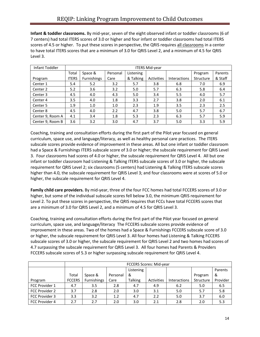**Infant & toddler classrooms.** By mid-year, seven of the eight observed infant or toddler classrooms (6 of 7 centers) had total ITERS scores of 3.0 or higher and four infant or toddler classrooms had total ITERS scores of 4.5 or higher. To put these scores in perspective, the QRIS requires all classrooms in a center to have total ITERS scores that are a minimum of 3.0 for QRIS Level 2, and a minimum of 4.5 for QRIS Level 3.

| Infant Toddler      | <b>ITERS Mid-year</b> |             |          |           |            |                     |           |         |
|---------------------|-----------------------|-------------|----------|-----------|------------|---------------------|-----------|---------|
|                     | Total                 | Space &     | Personal | Listening |            |                     | Program   | Parents |
| Program             | <b>ITERS</b>          | Furnishings | Care     | & Talking | Activities | <b>Interactions</b> | Structure | & Staff |
| Center 1            | 5.4                   | 5.2         | 3.2      | 5.7       | 3.8        | 6.8                 | 7.0       | 6.9     |
| Center 2            | 5.2                   | 3.6         | 3.2      | 5.0       | 5.7        | 6.3                 | 5.8       | 6.4     |
| Center 3            | 4.5                   | 4.0         | 4.3      | 5.0       | 3.4        | 5.5                 | 4.0       | 5.7     |
| Center <sub>4</sub> | 3.5                   | 4.0         | 1.8      | 3.3       | 2.7        | 3.8                 | 2.0       | 6.1     |
| Center 5            | 1.9                   | 1.0         | 1.0      | 2.3       | 1.9        | 3.5                 | 2.3       | 2.5     |
| Center 8            | 4.5                   | 4.0         | 2.2      | 4.7       | 3.8        | 5.0                 | 5.7       | 6.7     |
| Center 9, Room A    | 4.1                   | 3.4         | 1.8      | 5.3       | 2.3        | 6.3                 | 5.7       | 5.9     |
| Center 9, Room B    | 3.6                   | 3.2         | 3.0      | 4.7       | 3.7        | 5.0                 | 3.3       | 5.9     |

Coaching, training and consultation efforts during the first part of the Pilot year focused on general curriculum, space use, and language/literacy, as well as healthy personal care practices. The ITERS subscale scores provide evidence of improvement in these areas. All but one infant or toddler classroom had a Space & Furnishings ITERS subscale score of 3.0 or higher; the subscale requirement for QRIS Level 3. Four classrooms had scores of 4.0 or higher, the subscale requirement for QRIS Level 4. All but one infant or toddler classroom had Listening & Talking ITERS subscale scores of 3.0 or higher, the subscale requirement for QRIS Level 2; six classrooms (5 centers) had Listening & Talking ITERS subscale scores higher than 4.0, the subscale requirement for QRIS Level 3; and four classrooms were at scores of 5.0 or higher, the subscale requirement for QRIS Level 4.

**Family child care providers.** By mid-year, three of the four FCC homes had total FCCERS scores of 3.0 or higher, but some of the individual subscale scores fell below 3.0, the minimum QRIS requirement for Level 2. To put these scores in perspective, the QRIS requires that FCCs have total FCCERS scores that are a minimum of 3.0 for QRIS Level 2, and a minimum of 4.5 for QRIS Level 3.

Coaching, training and consultation efforts during the first part of the Pilot year focused on general curriculum, space use, and language/literacy The FCCERS subscale scores provide evidence of improvement in these areas. Two of the homes had a Space & Furnishings FCCERS subscale score of 3.0 or higher, the subscale requirement for QRIS Level 3. All four homes had Listening & Talking FCCERS subscale scores of 3.0 or higher, the subscale requirement for QRIS Level 2 and two homes had scores of 4.7 surpassing the subscale requirement for QRIS Level 3. All four homes had Parents & Providers FCCERS subscale scores of 5.3 or higher surpassing subscale requirement for QRIS Level 4.

|                | <b>FCCERS Scores: Mid-year</b> |             |          |                |            |                     |           |          |
|----------------|--------------------------------|-------------|----------|----------------|------------|---------------------|-----------|----------|
|                |                                |             |          | Listening      |            |                     |           | Parents  |
|                | Total                          | Space &     | Personal | &              |            |                     | Program   | &        |
| Program        | <b>FCCERS</b>                  | Furnishings | Care     | <b>Talking</b> | Activities | <b>Interactions</b> | Structure | Provider |
| FCC Provider 1 | 4.7                            | 3.5         | 2.8      | 4.7            | 4.9        | 6.2                 | 5.0       | 6.5      |
| FCC Provider 2 | 3.7                            | 2.8         | 2.0      | 3.0            | 3.1        | 5.0                 | 5.7       | 5.8      |
| FCC Provider 3 | 3.3                            | 3.2         | 1.2      | 4.7            | 2.2        | 5.0                 | 3.7       | 6.0      |
| FCC Provider 4 | 2.7                            | 2.7         | 2.0      | 3.0            | 2.1        | 2.8                 | 2.0       | 5.3      |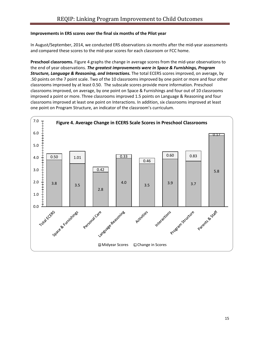### **Improvements in ERS scores over the final six months of the Pilot year**

In August/September, 2014, we conducted ERS observations six months after the mid-year assessments and compared these scores to the mid-year scores for each classroom or FCC home.

**Preschool classrooms.** Figure 4 graphs the change in average scores from the mid-year observations to the end of year observations. *The greatest improvements were in Space & Furnishings, Program Structure, Language & Reasoning, and Interactions.* The total ECERS scores improved, on average, by .50 points on the 7 point scale. Two of the 10 classrooms improved by one point or more and four other classrooms improved by at least 0.50. The subscale scores provide more information. Preschool classrooms improved, on average, by one point on Space & Furnishings and four out of 10 classrooms improved a point or more. Three classrooms improved 1.5 points on Language & Reasoning and four classrooms improved at least one point on Interactions. In addition, six classrooms improved at least one point on Program Structure, an indicator of the classroom's curriculum.

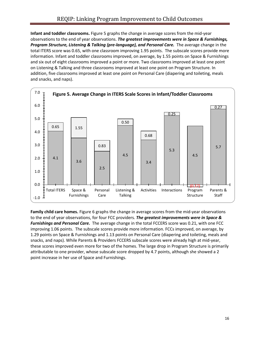**Infant and toddler classrooms.** Figure 5 graphs the change in average scores from the mid-year observations to the end of year observations. *The greatest improvements were in Space & Furnishings, Program Structure, Listening & Talking (pre-language), and Personal Care.* The average change in the total ITERS score was 0.65, with one classroom improving 1.95 points. The subscale scores provide more information. Infant and toddler classrooms improved, on average, by 1.55 points on Space & Furnishings and six out of eight classrooms improved a point or more. Two classrooms improved at least one point on Listening & Talking and three classrooms improved at least one point on Program Structure. In addition, five classrooms improved at least one point on Personal Care (diapering and toileting, meals and snacks, and naps).



**Family child care homes.** Figure 6 graphs the change in average scores from the mid-year observations to the end of year observations, for four FCC providers. *The greatest improvements were in Space & Furnishings and Personal Care.* The average change in the total FCCERS score was 0.21, with one FCC improving 1.06 points. The subscale scores provide more information. FCCs improved, on average, by 1.29 points on Space & Furnishings and 1.13 points on Personal Care (diapering and toileting, meals and snacks, and naps). While Parents & Providers FCCERS subscale scores were already high at mid-year, these scores improved even more for two of the homes. The large drop in Program Structure is primarily attributable to one provider, whose subscale score dropped by 4.7 points, although she showed a 2 point increase in her use of Space and Furnishings.